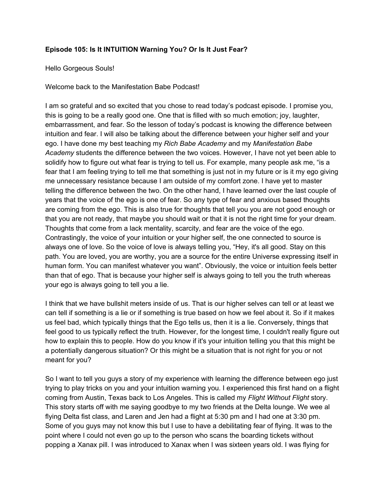## **Episode 105: Is It INTUITION Warning You? Or Is It Just Fear?**

## Hello Gorgeous Souls!

Welcome back to the Manifestation Babe Podcast!

I am so grateful and so excited that you chose to read today's podcast episode. I promise you, this is going to be a really good one. One that is filled with so much emotion; joy, laughter, embarrassment, and fear. So the lesson of today's podcast is knowing the difference between intuition and fear. I will also be talking about the difference between your higher self and your ego. I have done my best teaching my *Rich Babe Academy* and my *Manifestation Babe Academy* students the difference between the two voices. However, I have not yet been able to solidify how to figure out what fear is trying to tell us. For example, many people ask me, "is a fear that I am feeling trying to tell me that something is just not in my future or is it my ego giving me unnecessary resistance because I am outside of my comfort zone. I have yet to master telling the difference between the two. On the other hand, I have learned over the last couple of years that the voice of the ego is one of fear. So any type of fear and anxious based thoughts are coming from the ego. This is also true for thoughts that tell you you are not good enough or that you are not ready, that maybe you should wait or that it is not the right time for your dream. Thoughts that come from a lack mentality, scarcity, and fear are the voice of the ego. Contrastingly, the voice of your intuition or your higher self, the one connected to source is always one of love. So the voice of love is always telling you, "Hey, it's all good. Stay on this path. You are loved, you are worthy, you are a source for the entire Universe expressing itself in human form. You can manifest whatever you want". Obviously, the voice or intuition feels better than that of ego. That is because your higher self is always going to tell you the truth whereas your ego is always going to tell you a lie.

I think that we have bullshit meters inside of us. That is our higher selves can tell or at least we can tell if something is a lie or if something is true based on how we feel about it. So if it makes us feel bad, which typically things that the Ego tells us, then it is a lie. Conversely, things that feel good to us typically reflect the truth. However, for the longest time, I couldn't really figure out how to explain this to people. How do you know if it's your intuition telling you that this might be a potentially dangerous situation? Or this might be a situation that is not right for you or not meant for you?

So I want to tell you guys a story of my experience with learning the difference between ego just trying to play tricks on you and your intuition warning you. I experienced this first hand on a flight coming from Austin, Texas back to Los Angeles. This is called my *Flight Without Flight* story. This story starts off with me saying goodbye to my two friends at the Delta lounge. We wee al flying Delta fist class, and Laren and Jen had a flight at 5:30 pm and I had one at 3:30 pm. Some of you guys may not know this but I use to have a debilitating fear of flying. It was to the point where I could not even go up to the person who scans the boarding tickets without popping a Xanax pill. I was introduced to Xanax when I was sixteen years old. I was flying for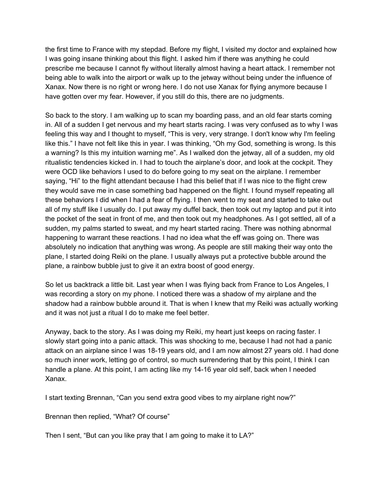the first time to France with my stepdad. Before my flight, I visited my doctor and explained how I was going insane thinking about this flight. I asked him if there was anything he could prescribe me because I cannot fly without literally almost having a heart attack. I remember not being able to walk into the airport or walk up to the jetway without being under the influence of Xanax. Now there is no right or wrong here. I do not use Xanax for flying anymore because I have gotten over my fear. However, if you still do this, there are no judgments.

So back to the story. I am walking up to scan my boarding pass, and an old fear starts coming in. All of a sudden I get nervous and my heart starts racing. I was very confused as to why I was feeling this way and I thought to myself, "This is very, very strange. I don't know why I'm feeling like this." I have not felt like this in year. I was thinking, "Oh my God, something is wrong. Is this a warning? Is this my intuition warning me". As I walked don the jetway, all of a sudden, my old ritualistic tendencies kicked in. I had to touch the airplane's door, and look at the cockpit. They were OCD like behaviors I used to do before going to my seat on the airplane. I remember saying, "Hi" to the flight attendant because I had this belief that if I was nice to the flight crew they would save me in case something bad happened on the flight. I found myself repeating all these behaviors I did when I had a fear of flying. I then went to my seat and started to take out all of my stuff like I usually do. I put away my duffel back, then took out my laptop and put it into the pocket of the seat in front of me, and then took out my headphones. As I got settled, all of a sudden, my palms started to sweat, and my heart started racing. There was nothing abnormal happening to warrant these reactions. I had no idea what the eff was going on. There was absolutely no indication that anything was wrong. As people are still making their way onto the plane, I started doing Reiki on the plane. I usually always put a protective bubble around the plane, a rainbow bubble just to give it an extra boost of good energy.

So let us backtrack a little bit. Last year when I was flying back from France to Los Angeles, I was recording a story on my phone. I noticed there was a shadow of my airplane and the shadow had a rainbow bubble around it. That is when I knew that my Reiki was actually working and it was not just a ritual I do to make me feel better.

Anyway, back to the story. As I was doing my Reiki, my heart just keeps on racing faster. I slowly start going into a panic attack. This was shocking to me, because I had not had a panic attack on an airplane since I was 18-19 years old, and I am now almost 27 years old. I had done so much inner work, letting go of control, so much surrendering that by this point, I think I can handle a plane. At this point, I am acting like my 14-16 year old self, back when I needed Xanax.

I start texting Brennan, "Can you send extra good vibes to my airplane right now?"

Brennan then replied, "What? Of course"

Then I sent, "But can you like pray that I am going to make it to LA?"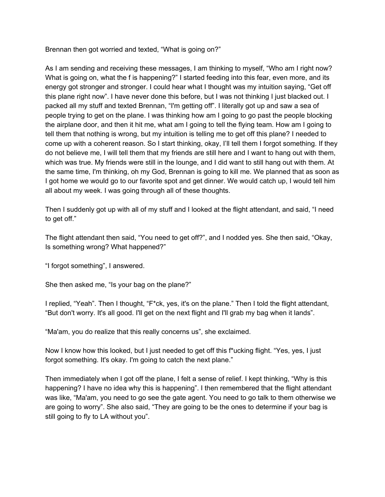Brennan then got worried and texted, "What is going on?"

As I am sending and receiving these messages, I am thinking to myself, "Who am I right now? What is going on, what the f is happening?" I started feeding into this fear, even more, and its energy got stronger and stronger. I could hear what I thought was my intuition saying, "Get off this plane right now". I have never done this before, but I was not thinking I just blacked out. I packed all my stuff and texted Brennan, "I'm getting off". I literally got up and saw a sea of people trying to get on the plane. I was thinking how am I going to go past the people blocking the airplane door, and then it hit me, what am I going to tell the flying team. How am I going to tell them that nothing is wrong, but my intuition is telling me to get off this plane? I needed to come up with a coherent reason. So I start thinking, okay, I'll tell them I forgot something. If they do not believe me, I will tell them that my friends are still here and I want to hang out with them, which was true. My friends were still in the lounge, and I did want to still hang out with them. At the same time, I'm thinking, oh my God, Brennan is going to kill me. We planned that as soon as I got home we would go to our favorite spot and get dinner. We would catch up, I would tell him all about my week. I was going through all of these thoughts.

Then I suddenly got up with all of my stuff and I looked at the flight attendant, and said, "I need to get off."

The flight attendant then said, "You need to get off?", and I nodded yes. She then said, "Okay, Is something wrong? What happened?"

"I forgot something", I answered.

She then asked me, "Is your bag on the plane?"

I replied, "Yeah". Then I thought, "F\*ck, yes, it's on the plane." Then I told the flight attendant, "But don't worry. It's all good. I'll get on the next flight and I'll grab my bag when it lands".

"Ma'am, you do realize that this really concerns us", she exclaimed.

Now I know how this looked, but I just needed to get off this f\*ucking flight. "Yes, yes, I just forgot something. It's okay. I'm going to catch the next plane."

Then immediately when I got off the plane, I felt a sense of relief. I kept thinking, "Why is this happening? I have no idea why this is happening". I then remembered that the flight attendant was like, "Ma'am, you need to go see the gate agent. You need to go talk to them otherwise we are going to worry". She also said, "They are going to be the ones to determine if your bag is still going to fly to LA without you".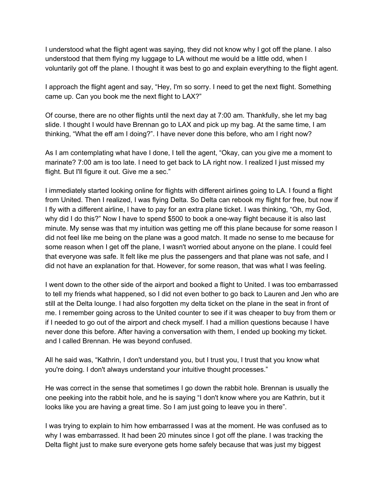I understood what the flight agent was saying, they did not know why I got off the plane. I also understood that them flying my luggage to LA without me would be a little odd, when I voluntarily got off the plane. I thought it was best to go and explain everything to the flight agent.

I approach the flight agent and say, "Hey, I'm so sorry. I need to get the next flight. Something came up. Can you book me the next flight to LAX?"

Of course, there are no other flights until the next day at 7:00 am. Thankfully, she let my bag slide. I thought I would have Brennan go to LAX and pick up my bag. At the same time, I am thinking, "What the eff am I doing?". I have never done this before, who am I right now?

As I am contemplating what have I done, I tell the agent, "Okay, can you give me a moment to marinate? 7:00 am is too late. I need to get back to LA right now. I realized I just missed my flight. But I'll figure it out. Give me a sec."

I immediately started looking online for flights with different airlines going to LA. I found a flight from United. Then I realized, I was flying Delta. So Delta can rebook my flight for free, but now if I fly with a different airline, I have to pay for an extra plane ticket. I was thinking, "Oh, my God, why did I do this?" Now I have to spend \$500 to book a one-way flight because it is also last minute. My sense was that my intuition was getting me off this plane because for some reason I did not feel like me being on the plane was a good match. It made no sense to me because for some reason when I get off the plane, I wasn't worried about anyone on the plane. I could feel that everyone was safe. It felt like me plus the passengers and that plane was not safe, and I did not have an explanation for that. However, for some reason, that was what I was feeling.

I went down to the other side of the airport and booked a flight to United. I was too embarrassed to tell my friends what happened, so I did not even bother to go back to Lauren and Jen who are still at the Delta lounge. I had also forgotten my delta ticket on the plane in the seat in front of me. I remember going across to the United counter to see if it was cheaper to buy from them or if I needed to go out of the airport and check myself. I had a million questions because I have never done this before. After having a conversation with them, I ended up booking my ticket. and I called Brennan. He was beyond confused.

All he said was, "Kathrin, I don't understand you, but I trust you, I trust that you know what you're doing. I don't always understand your intuitive thought processes."

He was correct in the sense that sometimes I go down the rabbit hole. Brennan is usually the one peeking into the rabbit hole, and he is saying "I don't know where you are Kathrin, but it looks like you are having a great time. So I am just going to leave you in there".

I was trying to explain to him how embarrassed I was at the moment. He was confused as to why I was embarrassed. It had been 20 minutes since I got off the plane. I was tracking the Delta flight just to make sure everyone gets home safely because that was just my biggest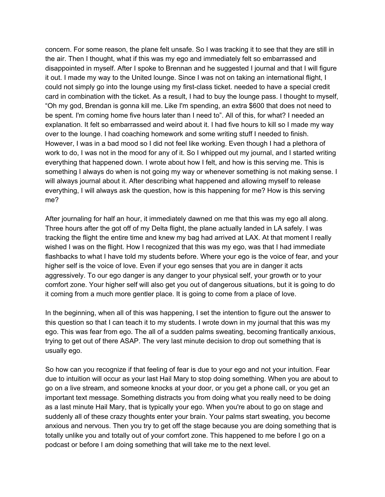concern. For some reason, the plane felt unsafe. So I was tracking it to see that they are still in the air. Then I thought, what if this was my ego and immediately felt so embarrassed and disappointed in myself. After I spoke to Brennan and he suggested I journal and that I will figure it out. I made my way to the United lounge. Since I was not on taking an international flight, I could not simply go into the lounge using my first-class ticket. needed to have a special credit card in combination with the ticket. As a result, I had to buy the lounge pass. I thought to myself, "Oh my god, Brendan is gonna kill me. Like I'm spending, an extra \$600 that does not need to be spent. I'm coming home five hours later than I need to". All of this, for what? I needed an explanation. It felt so embarrassed and weird about it. I had five hours to kill so I made my way over to the lounge. I had coaching homework and some writing stuff I needed to finish. However, I was in a bad mood so I did not feel like working. Even though I had a plethora of work to do, I was not in the mood for any of it. So I whipped out my journal, and I started writing everything that happened down. I wrote about how I felt, and how is this serving me. This is something I always do when is not going my way or whenever something is not making sense. I will always journal about it. After describing what happened and allowing myself to release everything, I will always ask the question, how is this happening for me? How is this serving me?

After journaling for half an hour, it immediately dawned on me that this was my ego all along. Three hours after the got off of my Delta flight, the plane actually landed in LA safely. I was tracking the flight the entire time and knew my bag had arrived at LAX. At that moment I really wished I was on the flight. How I recognized that this was my ego, was that I had immediate flashbacks to what I have told my students before. Where your ego is the voice of fear, and your higher self is the voice of love. Even if your ego senses that you are in danger it acts aggressively. To our ego danger is any danger to your physical self, your growth or to your comfort zone. Your higher self will also get you out of dangerous situations, but it is going to do it coming from a much more gentler place. It is going to come from a place of love.

In the beginning, when all of this was happening, I set the intention to figure out the answer to this question so that I can teach it to my students. I wrote down in my journal that this was my ego. This was fear from ego. The all of a sudden palms sweating, becoming frantically anxious, trying to get out of there ASAP. The very last minute decision to drop out something that is usually ego.

So how can you recognize if that feeling of fear is due to your ego and not your intuition. Fear due to intuition will occur as your last Hail Mary to stop doing something. When you are about to go on a live stream, and someone knocks at your door, or you get a phone call, or you get an important text message. Something distracts you from doing what you really need to be doing as a last minute Hail Mary, that is typically your ego. When you're about to go on stage and suddenly all of these crazy thoughts enter your brain. Your palms start sweating, you become anxious and nervous. Then you try to get off the stage because you are doing something that is totally unlike you and totally out of your comfort zone. This happened to me before I go on a podcast or before I am doing something that will take me to the next level.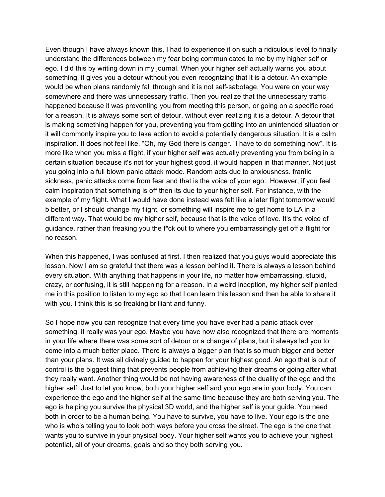Even though I have always known this, I had to experience it on such a ridiculous level to finally understand the differences between my fear being communicated to me by my higher self or ego. I did this by writing down in my journal. When your higher self actually warns you about something, it gives you a detour without you even recognizing that it is a detour. An example would be when plans randomly fall through and it is not self-sabotage. You were on your way somewhere and there was unnecessary traffic. Then you realize that the unnecessary traffic happened because it was preventing you from meeting this person, or going on a specific road for a reason. It is always some sort of detour, without even realizing it is a detour. A detour that is making something happen for you, preventing you from getting into an unintended situation or it will commonly inspire you to take action to avoid a potentially dangerous situation. It is a calm inspiration. It does not feel like, "Oh, my God there is danger. I have to do something now". It is more like when you miss a flight, if your higher self was actually preventing you from being in a certain situation because it's not for your highest good, it would happen in that manner. Not just you going into a full blown panic attack mode. Random acts due to anxiousness. frantic sickness, panic attacks come from fear and that is the voice of your ego. However, if you feel calm inspiration that something is off then its due to your higher self. For instance, with the example of my flight. What I would have done instead was felt like a later flight tomorrow would b better, or I should change my flight, or something will inspire me to get home to LA in a different way. That would be my higher self, because that is the voice of love. It's the voice of guidance, rather than freaking you the f\*ck out to where you embarrassingly get off a flight for no reason.

When this happened, I was confused at first. I then realized that you guys would appreciate this lesson. Now I am so grateful that there was a lesson behind it. There is always a lesson behind every situation. With anything that happens in your life, no matter how embarrassing, stupid, crazy, or confusing, it is still happening for a reason. In a weird inception, my higher self planted me in this position to listen to my ego so that I can learn this lesson and then be able to share it with you. I think this is so freaking brilliant and funny.

So I hope now you can recognize that every time you have ever had a panic attack over something, it really was your ego. Maybe you have now also recognized that there are moments in your life where there was some sort of detour or a change of plans, but it always led you to come into a much better place. There is always a bigger plan that is so much bigger and better than your plans. It was all divinely guided to happen for your highest good. An ego that is out of control is the biggest thing that prevents people from achieving their dreams or going after what they really want. Another thing would be not having awareness of the duality of the ego and the higher self. Just to let you know, both your higher self and your ego are in your body. You can experience the ego and the higher self at the same time because they are both serving you. The ego is helping you survive the physical 3D world, and the higher self is your guide. You need both in order to be a human being. You have to survive, you have to live. Your ego is the one who is who's telling you to look both ways before you cross the street. The ego is the one that wants you to survive in your physical body. Your higher self wants you to achieve your highest potential, all of your dreams, goals and so they both serving you.